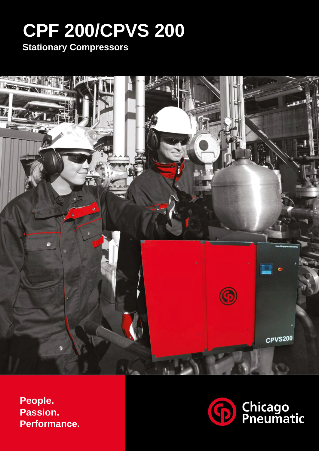# **CPF 200/CPVS 200**

**Stationary Compressors**



**People. Passion. Performance.**

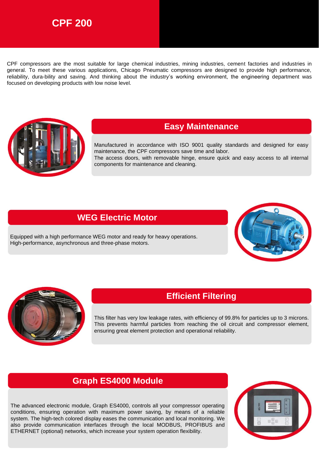## **CPF 200**

CPF compressors are the most suitable for large chemical industries, mining industries, cement factories and industries in general. To meet these various applications, Chicago Pneumatic compressors are designed to provide high performance, reliability, dura-bility and saving. And thinking about the industry's working environment, the engineering department was focused on developing products with low noise level.



### **Easy Maintenance**

Manufactured in accordance with ISO 9001 quality standards and designed for easy maintenance, the CPF compressors save time and labor.

The access doors, with removable hinge, ensure quick and easy access to all internal components for maintenance and cleaning.

## **WEG Electric Motor**

Equipped with a high performance WEG motor and ready for heavy operations. High-performance, asynchronous and three-phase motors.





## **Efficient Filtering**

This filter has very low leakage rates, with efficiency of 99.8% for particles up to 3 microns. This prevents harmful particles from reaching the oil circuit and compressor element, ensuring great element protection and operational reliability.

## **Graph ES4000 Module**

The advanced electronic module, Graph ES4000, controls all your compressor operating conditions, ensuring operation with maximum power saving, by means of a reliable system. The high-tech colored display eases the communication and local monitoring. We also provide communication interfaces through the local MODBUS, PROFIBUS and ETHERNET (optional) networks, which increase your system operation flexibility.

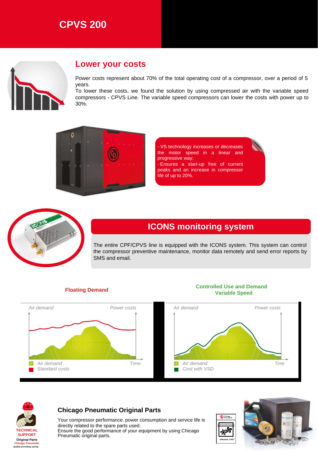## **CPVS 200**



## **Lower your costs**

Power costs represent about 70% of the total operating cost of a compressor, over a period of 5 years.

To lower these costs, we found the solution by using compressed air with the variable speed compressors - CPVS Line. The variable speed compressors can lower the costs with power up to 30%.



VS technology increases or decreases the motor speed in a linear and progressive way; - Ensures a start-up free of current peaks and an increase in compressor life of up to 20%.



## **ICONS monitoring system**

The entire CPF/CPVS line is equipped with the ICONS system. This system can control the compressor preventive maintenance, monitor data remotely and send error reports by SMS and email.



**Floating Demand Controlled Use and Demand**



#### **Chicago Pneumatic Original Parts**

Your compressor performance, power consumption and service life is directly related to the spare parts used.

Ensure the good performance of your equipment by using Chicago Pneumatic original parts.